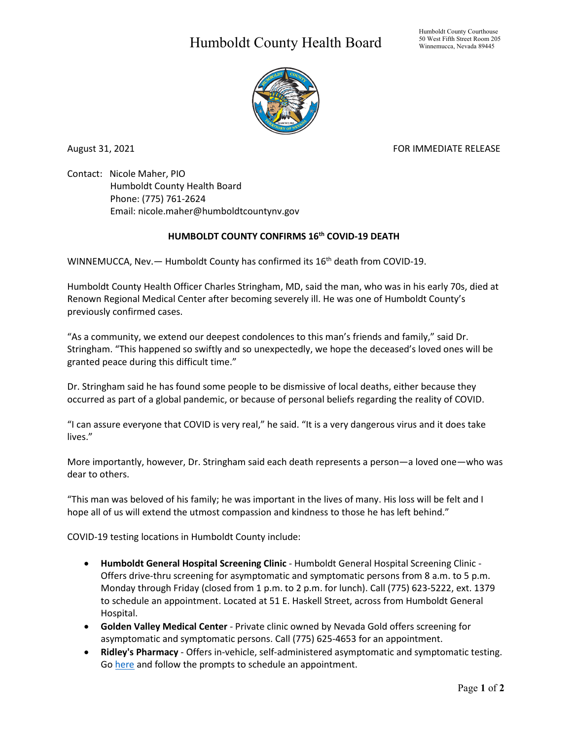## Humboldt County Health Board



August 31, 2021 **FOR IMMEDIATE RELEASE** 

Contact: Nicole Maher, PIO Humboldt County Health Board Phone: (775) 761-2624 Email: nicole.maher@humboldtcountynv.gov

## **HUMBOLDT COUNTY CONFIRMS 16th COVID-19 DEATH**

WINNEMUCCA, Nev.  $-$  Humboldt County has confirmed its  $16<sup>th</sup>$  death from COVID-19.

Humboldt County Health Officer Charles Stringham, MD, said the man, who was in his early 70s, died at Renown Regional Medical Center after becoming severely ill. He was one of Humboldt County's previously confirmed cases.

"As a community, we extend our deepest condolences to this man's friends and family," said Dr. Stringham. "This happened so swiftly and so unexpectedly, we hope the deceased's loved ones will be granted peace during this difficult time."

Dr. Stringham said he has found some people to be dismissive of local deaths, either because they occurred as part of a global pandemic, or because of personal beliefs regarding the reality of COVID.

"I can assure everyone that COVID is very real," he said. "It is a very dangerous virus and it does take lives."

More importantly, however, Dr. Stringham said each death represents a person—a loved one—who was dear to others.

"This man was beloved of his family; he was important in the lives of many. His loss will be felt and I hope all of us will extend the utmost compassion and kindness to those he has left behind."

COVID-19 testing locations in Humboldt County include:

- **Humboldt General Hospital Screening Clinic** Humboldt General Hospital Screening Clinic Offers drive-thru screening for asymptomatic and symptomatic persons from 8 a.m. to 5 p.m. Monday through Friday (closed from 1 p.m. to 2 p.m. for lunch). Call (775) 623-5222, ext. 1379 to schedule an appointment. Located at 51 E. Haskell Street, across from Humboldt General Hospital.
- **Golden Valley Medical Center** Private clinic owned by Nevada Gold offers screening for asymptomatic and symptomatic persons. Call (775) 625-4653 for an appointment.
- **Ridley's Pharmacy** Offers in-vehicle, self-administered asymptomatic and symptomatic testing. Go [here](https://www.doineedacovid19test.com/Winnemucca_NV_1098.html) and follow the prompts to schedule an appointment.